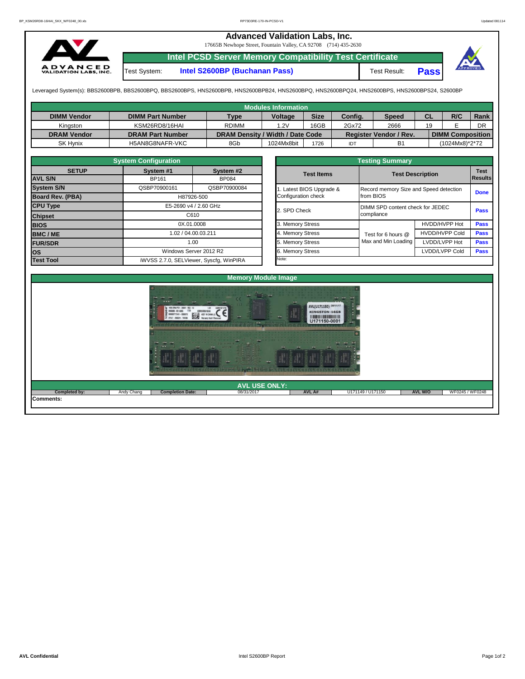## **Advanced Validation Labs, Inc.**  17665B Newhope Street, Fountain Valley, CA 92708 (714) 435-2630 **Intel PCSD Server Memory Compatibility Test Certificate A D V A N C E D**<br>VALIDATION LABS, INC. Test System: **Intel S2600BP (Buchanan Pass)** Test Result: **Pass**

Leveraged System(s): BBS2600BPB, BBS2600BPQ, BBS2600BPS, HNS2600BPB, HNS2600BPB24, HNS2600BPQ, HNS2600BPQ24, HNS2600BPS, HNS2600BPS24, S2600BP

|                    |                         |                                  | <b>Modules Information</b> |             |         |                               |    |                         |             |
|--------------------|-------------------------|----------------------------------|----------------------------|-------------|---------|-------------------------------|----|-------------------------|-------------|
| <b>DIMM Vendor</b> | <b>DIMM Part Number</b> | <b>Type</b>                      | <b>Voltage</b>             | <b>Size</b> | Config. | <b>Speed</b>                  | СL | R/C                     | <b>Rank</b> |
| Kinaston           | KSM26RD8/16HAI          | <b>RDIMM</b>                     | 1.2V                       | 16GB        | 2Gx72   | 2666                          | 19 |                         | DR          |
| <b>DRAM Vendor</b> | <b>DRAM Part Number</b> | DRAM Density / Width / Date Code |                            |             |         | <b>Register Vendor / Rev.</b> |    | <b>DIMM Composition</b> |             |
| <b>SK Hynix</b>    | H5AN8G8NAFR-VKC         | 8Gb                              | 1024Mx8bit                 | 1726        | IDT     | B <sub>1</sub>                |    | (1024Mx8)*2*72          |             |

|                         | <b>System Configuration</b>  |                                         |  |                       | <b>Testing Summary</b>           |                                        |             |  |  |  |
|-------------------------|------------------------------|-----------------------------------------|--|-----------------------|----------------------------------|----------------------------------------|-------------|--|--|--|
| <b>SETUP</b>            | System #1<br>System #2       |                                         |  | <b>Test Items</b>     | <b>Test Description</b>          |                                        |             |  |  |  |
| <b>AVL S/N</b>          | <b>BP161</b><br><b>BP084</b> |                                         |  |                       |                                  |                                        |             |  |  |  |
| <b>System S/N</b>       | QSBP70900161                 | QSBP70900084                            |  | Latest BIOS Upgrade & |                                  | Record memory Size and Speed detection |             |  |  |  |
| <b>Board Rev. (PBA)</b> |                              | H87926-500                              |  | Configuration check   | from BIOS                        | <b>Done</b>                            |             |  |  |  |
| <b>CPU Type</b>         | E5-2690 v4 / 2.60 GHz        |                                         |  | 2. SPD Check          | DIMM SPD content check for JEDEC | <b>Pass</b>                            |             |  |  |  |
| <b>Chipset</b>          | C610                         |                                         |  |                       | compliance                       |                                        |             |  |  |  |
| <b>BIOS</b>             |                              | 0X.01.0008                              |  | 3. Memory Stress      |                                  | HVDD/HVPP Hot                          | <b>Pass</b> |  |  |  |
| <b>BMC/ME</b>           |                              | 1.02 / 04.00.03.211                     |  | 4. Memory Stress      | Test for 6 hours @               | <b>HVDD/HVPP Cold</b>                  | <b>Pass</b> |  |  |  |
| <b>FUR/SDR</b>          |                              | 1.00                                    |  | 5. Memory Stress      | Max and Min Loading              | LVDD/LVPP Hot                          | <b>Pass</b> |  |  |  |
| lOS.                    |                              | Windows Server 2012 R2                  |  | 6. Memory Stress      |                                  | LVDD/LVPP Cold                         | <b>Pass</b> |  |  |  |
| <b>Test Tool</b>        |                              | iWVSS 2.7.0, SELViewer, Syscfq, WinPIRA |  | Note:                 |                                  |                                        |             |  |  |  |

|              | <b>System Configuration</b> |                                    | <b>Testing Summary</b> |                                  |                                        |                               |  |  |  |  |  |  |
|--------------|-----------------------------|------------------------------------|------------------------|----------------------------------|----------------------------------------|-------------------------------|--|--|--|--|--|--|
| <b>SETUP</b> | System #1<br><b>BP161</b>   | System #2<br><b>BP084</b>          | <b>Test Items</b>      | <b>Test Description</b>          |                                        | <b>Test</b><br><b>Results</b> |  |  |  |  |  |  |
|              | QSBP70900161                | QSBP70900084                       | Latest BIOS Upgrade &  |                                  | Record memory Size and Speed detection |                               |  |  |  |  |  |  |
| PBA)         |                             | H87926-500                         | Configuration check    | from BIOS                        |                                        |                               |  |  |  |  |  |  |
|              |                             | E5-2690 v4 / 2.60 GHz              | 2. SPD Check           | DIMM SPD content check for JEDEC | <b>Pass</b>                            |                               |  |  |  |  |  |  |
|              |                             | C610                               |                        | compliance                       |                                        |                               |  |  |  |  |  |  |
|              |                             | 0X.01.0008                         | 3. Memory Stress       |                                  | HVDD/HVPP Hot                          | <b>Pass</b>                   |  |  |  |  |  |  |
|              |                             | 1.02 / 04.00.03.211                | 4. Memory Stress       | Test for 6 hours @               | <b>HVDD/HVPP Cold</b>                  | <b>Pass</b>                   |  |  |  |  |  |  |
|              |                             | 1.00                               | 5. Memory Stress       | Max and Min Loading              | LVDD/LVPP Hot                          | <b>Pass</b>                   |  |  |  |  |  |  |
|              |                             | Windows Server 2012 R2             | 6. Memory Stress       |                                  | LVDD/LVPP Cold                         | <b>Pass</b>                   |  |  |  |  |  |  |
|              |                             | iWVSS 270 SELViewer Svecta WinPIRA | Note:                  |                                  |                                        |                               |  |  |  |  |  |  |